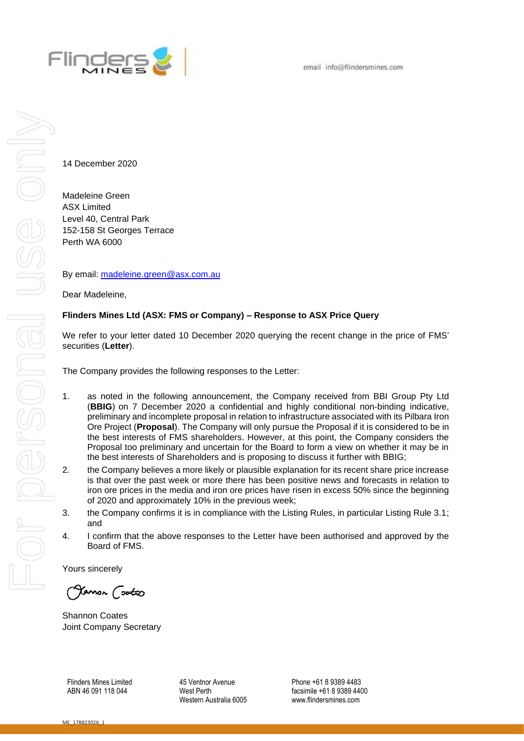

14 December 2020

Madeleine Green ASX Limited Level 40, Central Park 152-158 St Georges Terrace Perth WA 6000

By email: [madeleine.green@asx.com.au](mailto:madeleine.green@asx.com.au)

Dear Madeleine,

## **Flinders Mines Ltd (ASX: FMS or Company) – Response to ASX Price Query**

We refer to your letter dated 10 December 2020 querying the recent change in the price of FMS' securities (**Letter**).

The Company provides the following responses to the Letter:

- 1. as noted in the following announcement, the Company received from BBI Group Pty Ltd (**BBIG**) on 7 December 2020 a confidential and highly conditional non-binding indicative, preliminary and incomplete proposal in relation to infrastructure associated with its Pilbara Iron Ore Project (**Proposal**). The Company will only pursue the Proposal if it is considered to be in the best interests of FMS shareholders. However, at this point, the Company considers the Proposal too preliminary and uncertain for the Board to form a view on whether it may be in the best interests of Shareholders and is proposing to discuss it further with BBIG;
- 2. the Company believes a more likely or plausible explanation for its recent share price increase is that over the past week or more there has been positive news and forecasts in relation to iron ore prices in the media and iron ore prices have risen in excess 50% since the beginning of 2020 and approximately 10% in the previous week;
- 3. the Company confirms it is in compliance with the Listing Rules, in particular Listing Rule 3.1; and
- 4. I confirm that the above responses to the Letter have been authorised and approved by the Board of FMS.

Yours sincerely

Yamon (<del>solo</del>o

Shannon Coates Joint Company Secretary

Flinders Mines Limited ABN 46 091 118 044

45 Ventnor Avenue West Perth Western Australia 6005 Phone +61 8 9389 4483 facsimile +61 8 9389 4400 www.flindersmines.com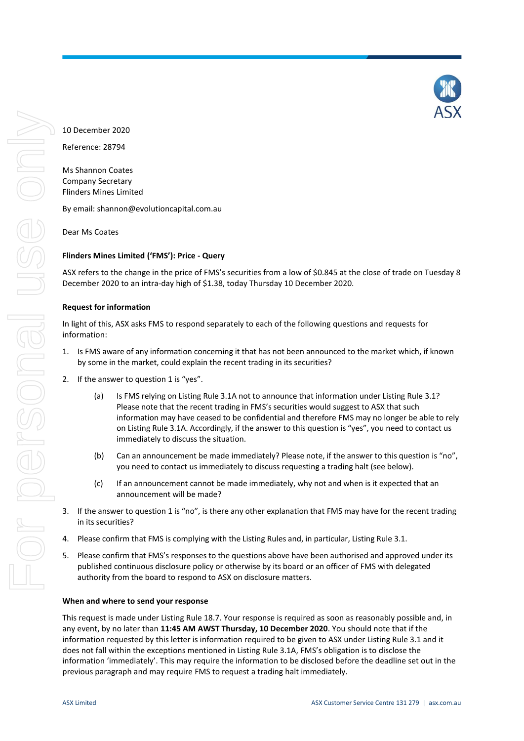10 December 2020

Reference: 28794

Ms Shannon Coates Company Secretary Flinders Mines Limited

By email: shannon@evolutioncapital.com.au

Dear Ms Coates

# **Flinders Mines Limited ('FMS'): Price - Query**

ASX refers to the change in the price of FMS's securities from a low of \$0.845 at the close of trade on Tuesday 8 December 2020 to an intra-day high of \$1.38, today Thursday 10 December 2020.

## **Request for information**

In light of this, ASX asks FMS to respond separately to each of the following questions and requests for information:

- 1. Is FMS aware of any information concerning it that has not been announced to the market which, if known by some in the market, could explain the recent trading in its securities?
- 2. If the answer to question 1 is "yes".
	- (a) Is FMS relying on Listing Rule 3.1A not to announce that information under Listing Rule 3.1? Please note that the recent trading in FMS's securities would suggest to ASX that such information may have ceased to be confidential and therefore FMS may no longer be able to rely on Listing Rule 3.1A. Accordingly, if the answer to this question is "yes", you need to contact us immediately to discuss the situation.
	- (b) Can an announcement be made immediately? Please note, if the answer to this question is "no", you need to contact us immediately to discuss requesting a trading halt (see below).
	- (c) If an announcement cannot be made immediately, why not and when is it expected that an announcement will be made?
- 3. If the answer to question 1 is "no", is there any other explanation that FMS may have for the recent trading in its securities?
- 4. Please confirm that FMS is complying with the Listing Rules and, in particular, Listing Rule 3.1.
- 5. Please confirm that FMS's responses to the questions above have been authorised and approved under its published continuous disclosure policy or otherwise by its board or an officer of FMS with delegated authority from the board to respond to ASX on disclosure matters.

### **When and where to send your response**

This request is made under Listing Rule 18.7. Your response is required as soon as reasonably possible and, in any event, by no later than **11:45 AM AWST Thursday, 10 December 2020**. You should note that if the information requested by this letter is information required to be given to ASX under Listing Rule 3.1 and it does not fall within the exceptions mentioned in Listing Rule 3.1A, FMS's obligation is to disclose the information 'immediately'. This may require the information to be disclosed before the deadline set out in the previous paragraph and may require FMS to request a trading halt immediately.